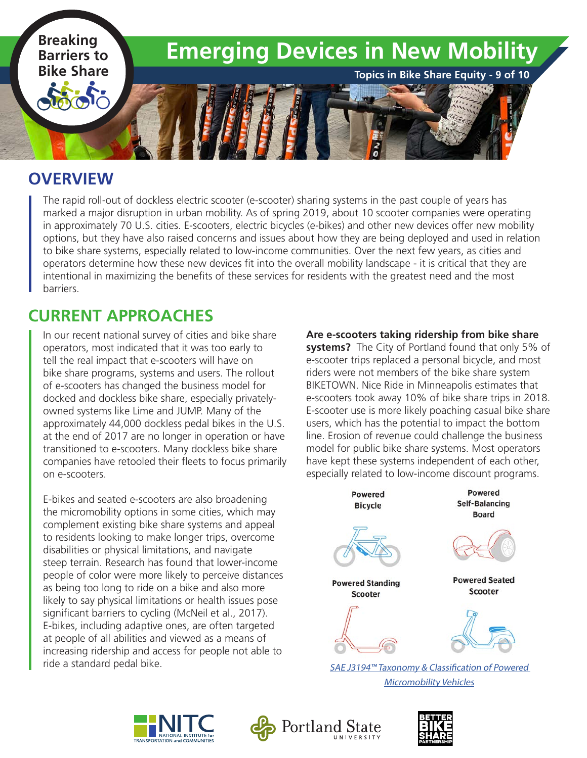

#### **OVERVIEW**

The rapid roll-out of dockless electric scooter (e-scooter) sharing systems in the past couple of years has marked a major disruption in urban mobility. As of spring 2019, about 10 scooter companies were operating in approximately 70 U.S. cities. E-scooters, electric bicycles (e-bikes) and other new devices offer new mobility options, but they have also raised concerns and issues about how they are being deployed and used in relation to bike share systems, especially related to low-income communities. Over the next few years, as cities and operators determine how these new devices fit into the overall mobility landscape - it is critical that they are intentional in maximizing the benefits of these services for residents with the greatest need and the most barriers.

## **CURRENT APPROACHES**

In our recent national survey of cities and bike share operators, most indicated that it was too early to tell the real impact that e-scooters will have on bike share programs, systems and users. The rollout of e-scooters has changed the business model for docked and dockless bike share, especially privatelyowned systems like Lime and JUMP. Many of the approximately 44,000 dockless pedal bikes in the U.S. at the end of 2017 are no longer in operation or have transitioned to e-scooters. Many dockless bike share companies have retooled their fleets to focus primarily on e-scooters.

E-bikes and seated e-scooters are also broadening the micromobility options in some cities, which may complement existing bike share systems and appeal to residents looking to make longer trips, overcome disabilities or physical limitations, and navigate steep terrain. Research has found that lower-income people of color were more likely to perceive distances as being too long to ride on a bike and also more likely to say physical limitations or health issues pose significant barriers to cycling (McNeil et al., 2017). E-bikes, including adaptive ones, are often targeted at people of all abilities and viewed as a means of increasing ridership and access for people not able to ride a standard pedal bike.

**Are e-scooters taking ridership from bike share systems?** The City of Portland found that only 5% of e-scooter trips replaced a personal bicycle, and most riders were not members of the bike share system BIKETOWN. Nice Ride in Minneapolis estimates that e-scooters took away 10% of bike share trips in 2018. E-scooter use is more likely poaching casual bike share users, which has the potential to impact the bottom line. Erosion of revenue could challenge the business model for public bike share systems. Most operators have kept these systems independent of each other, especially related to low-income discount programs.



[SAE J3194™ Taxonomy &](https://www.sae.org/standards/content/j3194_201911/) Classification of Powered Micromobility Vehicles